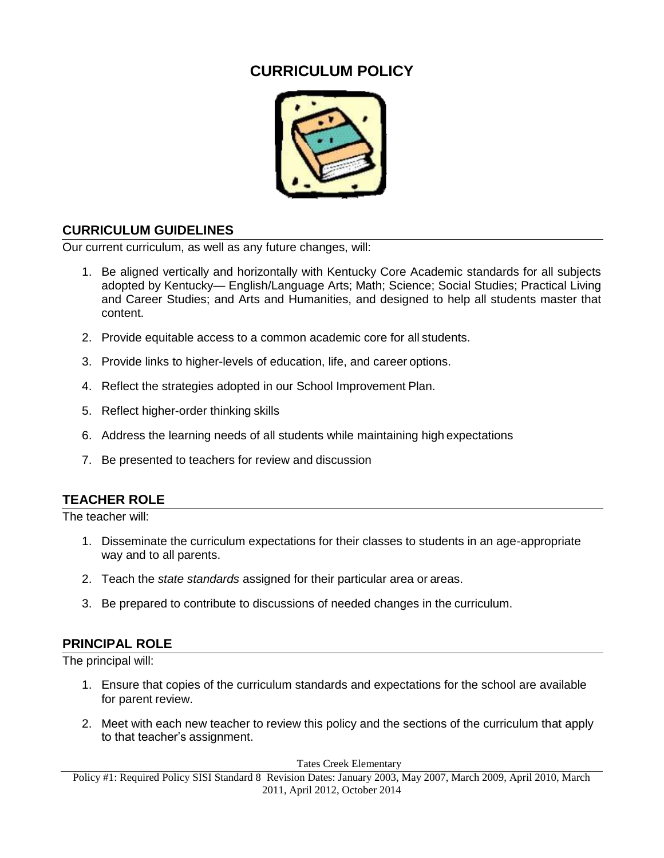# **CURRICULUM POLICY**



## **CURRICULUM GUIDELINES**

Our current curriculum, as well as any future changes, will:

- 1. Be aligned vertically and horizontally with Kentucky Core Academic standards for all subjects adopted by Kentucky— English/Language Arts; Math; Science; Social Studies; Practical Living and Career Studies; and Arts and Humanities, and designed to help all students master that content.
- 2. Provide equitable access to a common academic core for all students.
- 3. Provide links to higher-levels of education, life, and career options.
- 4. Reflect the strategies adopted in our School Improvement Plan.
- 5. Reflect higher-order thinking skills
- 6. Address the learning needs of all students while maintaining high expectations
- 7. Be presented to teachers for review and discussion

#### **TEACHER ROLE**

The teacher will:

- 1. Disseminate the curriculum expectations for their classes to students in an age-appropriate way and to all parents.
- 2. Teach the *state standards* assigned for their particular area or areas.
- 3. Be prepared to contribute to discussions of needed changes in the curriculum.

#### **PRINCIPAL ROLE**

The principal will:

- 1. Ensure that copies of the curriculum standards and expectations for the school are available for parent review.
- 2. Meet with each new teacher to review this policy and the sections of the curriculum that apply to that teacher's assignment.

Tates Creek Elementary